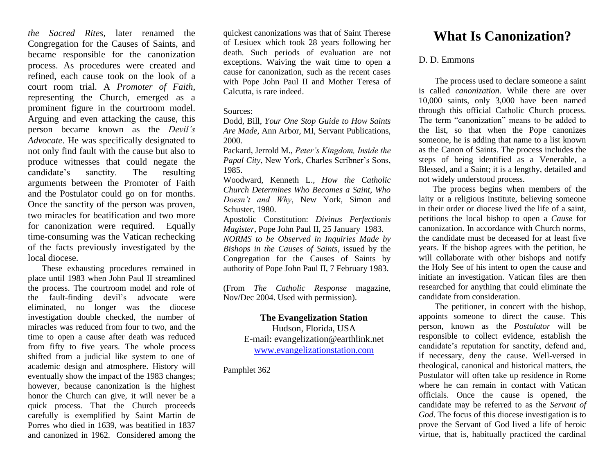*the Sacred Rites*, later renamed the Congregation for the Causes of Saints, and became responsible for the canonization process. As procedures were created and refined, each cause took on the look of a court room trial. A *Promoter of Faith*, representing the Church, emerged as a prominent figure in the courtroom model. Arguing and even attacking the cause, this person became known as the *Devil's Advocate*. He was specifically designated to not only find fault with the cause but also to produce witnesses that could negate the candidate's sanctity. The resulting arguments between the Promoter of Faith and the Postulator could go on for months. Once the sanctity of the person was proven, two miracles for beatification and two more for canonization were required. Equally time-consuming was the Vatican rechecking of the facts previously investigated by the local diocese.

These exhausting procedures remained in place until 1983 when John Paul II streamlined the process. The courtroom model and role of the fault-finding devil's advocate were eliminated, no longer was the diocese investigation double checked, the number of miracles was reduced from four to two, and the time to open a cause after death was reduced from fifty to five years. The whole process shifted from a judicial like system to one of academic design and atmosphere. History will eventually show the impact of the 1983 changes; however, because canonization is the highest honor the Church can give, it will never be a quick process. That the Church proceeds carefully is exemplified by Saint Martin de Porres who died in 1639, was beatified in 1837 and canonized in 1962. Considered among the

quickest canonizations was that of Saint Therese of Lesiuex which took 28 years following her death. Such periods of evaluation are not exceptions. Waiving the wait time to open a cause for canonization, such as the recent cases with Pope John Paul II and Mother Teresa of Calcutta, is rare indeed.

## Sources:

Dodd, Bill, *Your One Stop Guide to How Saints Are Made*, Ann Arbor, MI, Servant Publications, 2000.

Packard, Jerrold M., *Peter's Kingdom, Inside the Papal City*, New York, Charles Scribner's Sons, 1985.

Woodward, Kenneth L., *How the Catholic Church Determines Who Becomes a Saint, Who Doesn't and Why*, New York, Simon and Schuster, 1980.

Apostolic Constitution: *Divinus Perfectionis Magister*, Pope John Paul II, 25 January 1983. *NORMS to be Observed in Inquiries Made by Bishops in the Causes of Saints*, issued by the Congregation for the Causes of Saints by authority of Pope John Paul II, 7 February 1983.

(From *The Catholic Response* magazine, Nov/Dec 2004. Used with permission).

## **The Evangelization Station**

Hudson, Florida, USA E-mail: evangelization@earthlink.net [www.evangelizationstation.com](http://www.pjpiisoe.org/)

Pamphlet 362

## **What Is Canonization?**

## D. D. Emmons

The process used to declare someone a saint is called *canonization*. While there are over 10,000 saints, only 3,000 have been named through this official Catholic Church process. The term "canonization" means to be added to the list, so that when the Pope canonizes someone, he is adding that name to a list known as the Canon of Saints. The process includes the steps of being identified as a Venerable, a Blessed, and a Saint; it is a lengthy, detailed and not widely understood process.

The process begins when members of the laity or a religious institute, believing someone in their order or diocese lived the life of a saint, petitions the local bishop to open a *Cause* for canonization. In accordance with Church norms, the candidate must be deceased for at least five years. If the bishop agrees with the petition, he will collaborate with other bishops and notify the Holy See of his intent to open the cause and initiate an investigation. Vatican files are then researched for anything that could eliminate the candidate from consideration.

The petitioner, in concert with the bishop, appoints someone to direct the cause. This person, known as the *Postulator* will be responsible to collect evidence, establish the candidate's reputation for sanctity, defend and, if necessary, deny the cause. Well-versed in theological, canonical and historical matters, the Postulator will often take up residence in Rome where he can remain in contact with Vatican officials. Once the cause is opened, the candidate may be referred to as the *Servant of God*. The focus of this diocese investigation is to prove the Servant of God lived a life of heroic virtue, that is, habitually practiced the cardinal